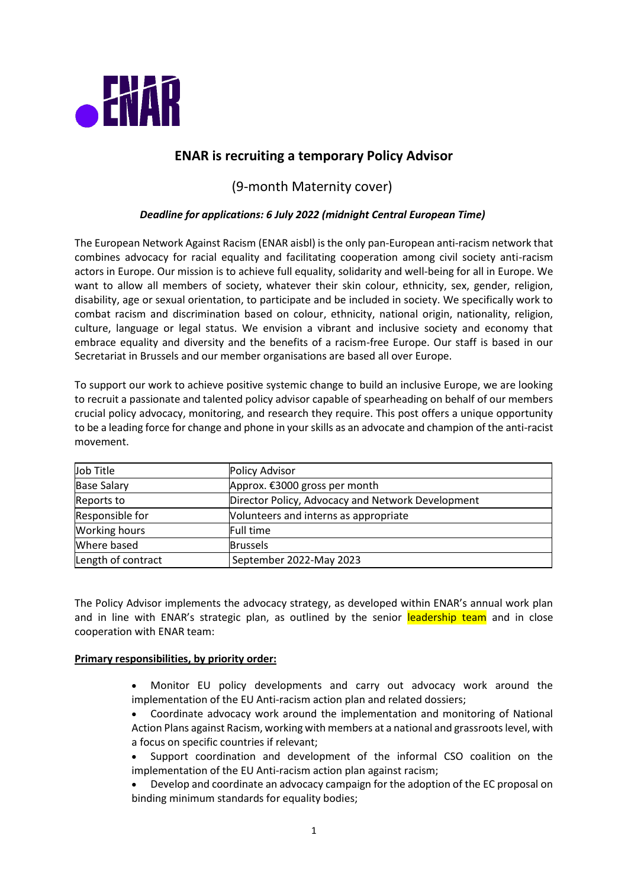

# **ENAR is recruiting a temporary Policy Advisor**

# (9-month Maternity cover)

## *Deadline for applications: 6 July 2022 (midnight Central European Time)*

The European Network Against Racism (ENAR aisbl) is the only pan-European anti-racism network that combines advocacy for racial equality and facilitating cooperation among civil society anti-racism actors in Europe. Our mission is to achieve full equality, solidarity and well-being for all in Europe. We want to allow all members of society, whatever their skin colour, ethnicity, sex, gender, religion, disability, age or sexual orientation, to participate and be included in society. We specifically work to combat racism and discrimination based on colour, ethnicity, national origin, nationality, religion, culture, language or legal status. We envision a vibrant and inclusive society and economy that embrace equality and diversity and the benefits of a racism-free Europe. Our staff is based in our Secretariat in Brussels and our member organisations are based all over Europe.

To support our work to achieve positive systemic change to build an inclusive Europe, we are looking to recruit a passionate and talented policy advisor capable of spearheading on behalf of our members crucial policy advocacy, monitoring, and research they require. This post offers a unique opportunity to be a leading force for change and phone in your skills as an advocate and champion of the anti-racist movement.

| Job Title            | <b>Policy Advisor</b>                             |
|----------------------|---------------------------------------------------|
| <b>Base Salary</b>   | Approx. €3000 gross per month                     |
| Reports to           | Director Policy, Advocacy and Network Development |
| Responsible for      | Volunteers and interns as appropriate             |
| <b>Working hours</b> | Full time                                         |
| Where based          | <b>Brussels</b>                                   |
| Length of contract   | September 2022-May 2023                           |

The Policy Advisor implements the advocacy strategy, as developed within ENAR's annual work plan and in line with ENAR's strategic plan, as outlined by the senior leadership team and in close cooperation with ENAR team:

#### **Primary responsibilities, by priority order:**

- Monitor EU policy developments and carry out advocacy work around the implementation of the EU Anti-racism action plan and related dossiers;
- Coordinate advocacy work around the implementation and monitoring of National Action Plans against Racism, working with members at a national and grassroots level, with a focus on specific countries if relevant;
- Support coordination and development of the informal CSO coalition on the implementation of the EU Anti-racism action plan against racism;
- Develop and coordinate an advocacy campaign for the adoption of the EC proposal on binding minimum standards for equality bodies;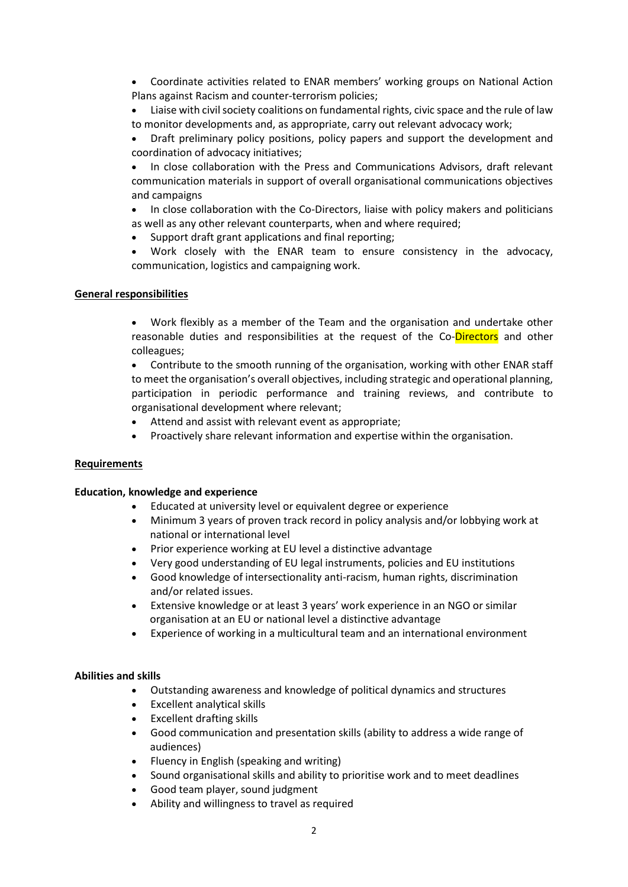• Coordinate activities related to ENAR members' working groups on National Action Plans against Racism and counter-terrorism policies;

• Liaise with civil society coalitions on fundamental rights, civic space and the rule of law to monitor developments and, as appropriate, carry out relevant advocacy work;

• Draft preliminary policy positions, policy papers and support the development and coordination of advocacy initiatives;

• In close collaboration with the Press and Communications Advisors, draft relevant communication materials in support of overall organisational communications objectives and campaigns

• In close collaboration with the Co-Directors, liaise with policy makers and politicians as well as any other relevant counterparts, when and where required;

• Support draft grant applications and final reporting;

• Work closely with the ENAR team to ensure consistency in the advocacy, communication, logistics and campaigning work.

### **General responsibilities**

• Work flexibly as a member of the Team and the organisation and undertake other reasonable duties and responsibilities at the request of the Co-Directors and other colleagues;

• Contribute to the smooth running of the organisation, working with other ENAR staff to meet the organisation's overall objectives, including strategic and operational planning, participation in periodic performance and training reviews, and contribute to organisational development where relevant;

- Attend and assist with relevant event as appropriate;
- Proactively share relevant information and expertise within the organisation.

#### **Requirements**

#### **Education, knowledge and experience**

- Educated at university level or equivalent degree or experience
- Minimum 3 years of proven track record in policy analysis and/or lobbying work at national or international level
- Prior experience working at EU level a distinctive advantage
- Very good understanding of EU legal instruments, policies and EU institutions
- Good knowledge of intersectionality anti-racism, human rights, discrimination and/or related issues.
- Extensive knowledge or at least 3 years' work experience in an NGO or similar organisation at an EU or national level a distinctive advantage
- Experience of working in a multicultural team and an international environment

#### **Abilities and skills**

- Outstanding awareness and knowledge of political dynamics and structures
- Excellent analytical skills
- Excellent drafting skills
- Good communication and presentation skills (ability to address a wide range of audiences)
- Fluency in English (speaking and writing)
- Sound organisational skills and ability to prioritise work and to meet deadlines
- Good team player, sound judgment
- Ability and willingness to travel as required